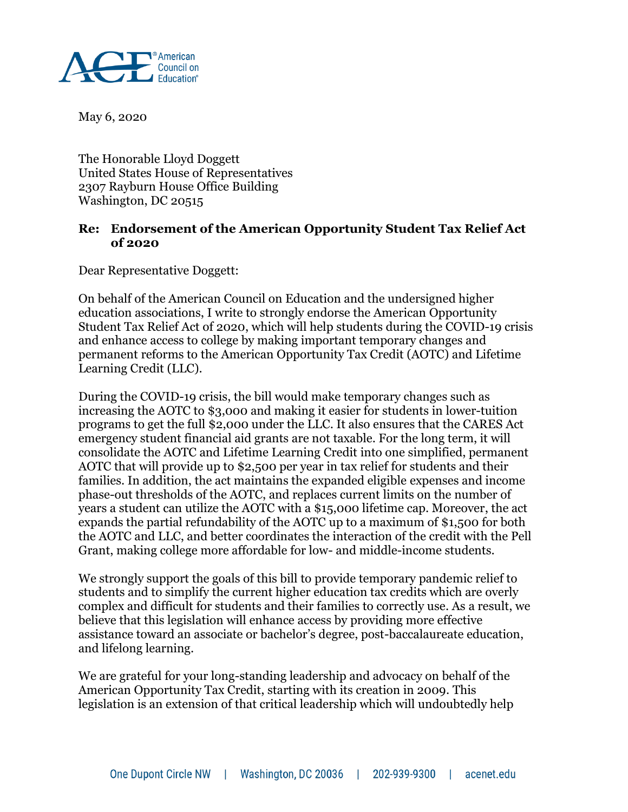

May 6, 2020

The Honorable Lloyd Doggett United States House of Representatives 2307 Rayburn House Office Building Washington, DC 20515

## **Re: Endorsement of the American Opportunity Student Tax Relief Act of 2020**

Dear Representative Doggett:

On behalf of the American Council on Education and the undersigned higher education associations, I write to strongly endorse the American Opportunity Student Tax Relief Act of 2020, which will help students during the COVID-19 crisis and enhance access to college by making important temporary changes and permanent reforms to the American Opportunity Tax Credit (AOTC) and Lifetime Learning Credit (LLC).

During the COVID-19 crisis, the bill would make temporary changes such as increasing the AOTC to \$3,000 and making it easier for students in lower-tuition programs to get the full \$2,000 under the LLC. It also ensures that the CARES Act emergency student financial aid grants are not taxable. For the long term, it will consolidate the AOTC and Lifetime Learning Credit into one simplified, permanent AOTC that will provide up to \$2,500 per year in tax relief for students and their families. In addition, the act maintains the expanded eligible expenses and income phase-out thresholds of the AOTC, and replaces current limits on the number of years a student can utilize the AOTC with a \$15,000 lifetime cap. Moreover, the act expands the partial refundability of the AOTC up to a maximum of \$1,500 for both the AOTC and LLC, and better coordinates the interaction of the credit with the Pell Grant, making college more affordable for low- and middle-income students.

We strongly support the goals of this bill to provide temporary pandemic relief to students and to simplify the current higher education tax credits which are overly complex and difficult for students and their families to correctly use. As a result, we believe that this legislation will enhance access by providing more effective assistance toward an associate or bachelor's degree, post-baccalaureate education, and lifelong learning.

We are grateful for your long-standing leadership and advocacy on behalf of the American Opportunity Tax Credit, starting with its creation in 2009. This legislation is an extension of that critical leadership which will undoubtedly help